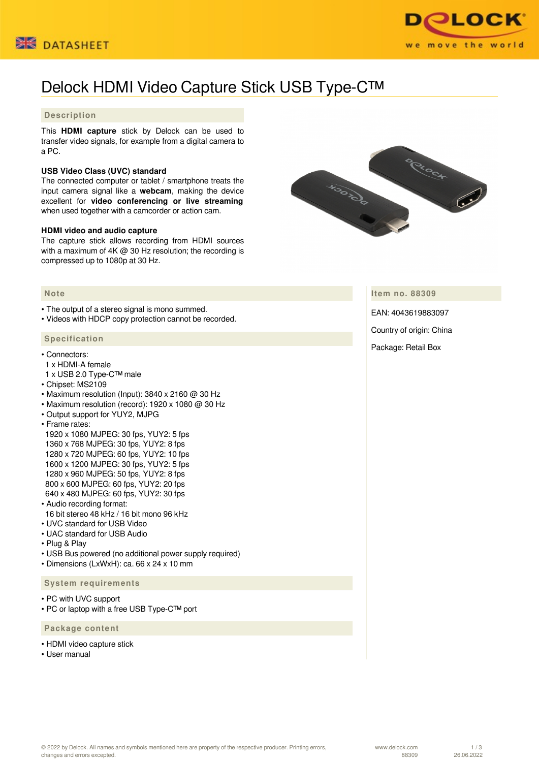



# Delock HDMI Video Capture Stick USB Type-C™

## **Description**

This **HDMI capture** stick by Delock can be used to transfer video signals, for example from a digital camera to a PC.

### **USB Video Class (UVC) standard**

The connected computer or tablet / smartphone treats the input camera signal like a **webcam**, making the device excellent for **video conferencing or live streaming** when used together with a camcorder or action cam.

#### **HDMI video and audio capture**

The capture stick allows recording from HDMI sources with a maximum of 4K @ 30 Hz resolution; the recording is compressed up to 1080p at 30 Hz.



• The output of a stereo signal is mono summed.

• Videos with HDCP copy protection cannot be recorded.

#### **Specification**

- Connectors:
- 1 x HDMI-A female
- 1 x USB 2.0 Type-C™ male
- Chipset: MS2109
- Maximum resolution (Input):  $3840 \times 2160$  @ 30 Hz
- Maximum resolution (record): 1920 x 1080 @ 30 Hz
- Output support for YUY2, MJPG
- Frame rates:

 1920 x 1080 MJPEG: 30 fps, YUY2: 5 fps 1360 x 768 MJPEG: 30 fps, YUY2: 8 fps 1280 x 720 MJPEG: 60 fps, YUY2: 10 fps 1600 x 1200 MJPEG: 30 fps, YUY2: 5 fps 1280 x 960 MJPEG: 50 fps, YUY2: 8 fps 800 x 600 MJPEG: 60 fps, YUY2: 20 fps 640 x 480 MJPEG: 60 fps, YUY2: 30 fps

- Audio recording format:
- 16 bit stereo 48 kHz / 16 bit mono 96 kHz
- UVC standard for USB Video
- UAC standard for USB Audio
- Plug & Play
- USB Bus powered (no additional power supply required)
- Dimensions (LxWxH): ca. 66 x 24 x 10 mm

#### **System requirements**

- PC with UVC support
- PC or laptop with a free USB Type-C™ port

 **Package content**

- HDMI video capture stick
- Heer manual

HOOTOCO CHOCH

**Item no. 88309**

EAN: 4043619883097

Country of origin: China

Package: Retail Box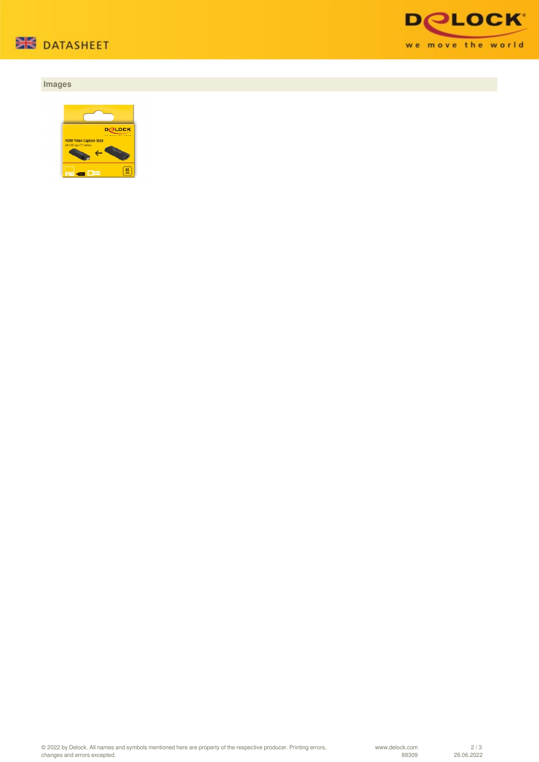

## **Images**